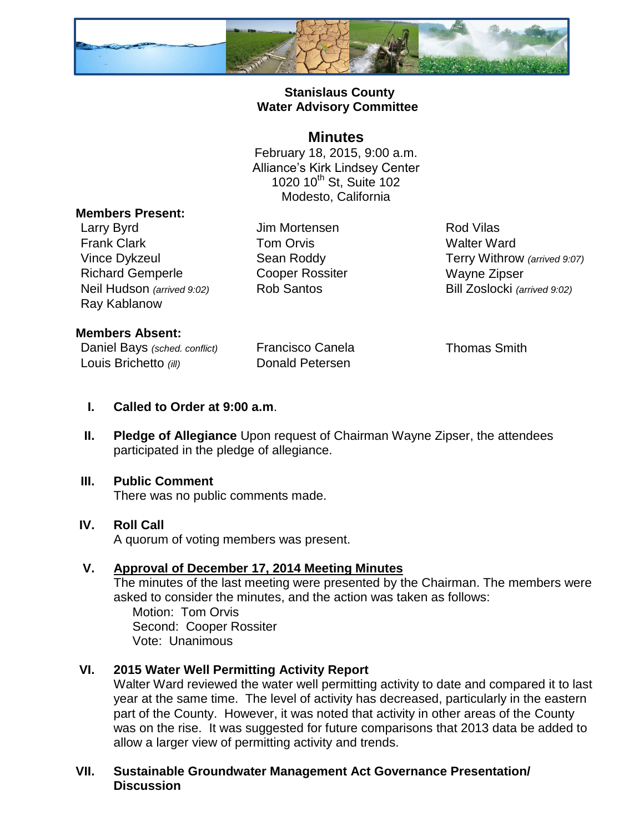

# **Stanislaus County Water Advisory Committee**

# **Minutes**

February 18, 2015, 9:00 a.m. Alliance's Kirk Lindsey Center 1020 10<sup>th</sup> St, Suite 102 Modesto, California

#### **Members Present:**

Larry Byrd **Carry Byrd** Jim Mortensen **Rod Vilas** Frank Clark **Tom Orvis** Tom Orvis Walter Ward Richard Gemperle **Cooper Rossiter** Wayne Zipser Neil Hudson *(arrived 9:02)* Rob Santos Bill Zoslocki *(arrived 9:02)* Ray Kablanow

Vince Dykzeul Sean Roddy Terry Withrow *(arrived 9:07)*

### **Members Absent:**

Daniel Bays *(sched. conflict)* Francisco Canela Thomas Smith Louis Brichetto (ill) **Donald Petersen** 

- **I. Called to Order at 9:00 a.m**.
- **II. Pledge of Allegiance** Upon request of Chairman Wayne Zipser, the attendees participated in the pledge of allegiance.

### **III. Public Comment**

There was no public comments made.

### **IV. Roll Call**

A quorum of voting members was present.

### **V. Approval of December 17, 2014 Meeting Minutes**

The minutes of the last meeting were presented by the Chairman. The members were asked to consider the minutes, and the action was taken as follows:

 Motion: Tom Orvis Second: Cooper Rossiter Vote: Unanimous

# **VI. 2015 Water Well Permitting Activity Report**

Walter Ward reviewed the water well permitting activity to date and compared it to last year at the same time. The level of activity has decreased, particularly in the eastern part of the County. However, it was noted that activity in other areas of the County was on the rise. It was suggested for future comparisons that 2013 data be added to allow a larger view of permitting activity and trends.

### **VII. Sustainable Groundwater Management Act Governance Presentation/ Discussion**